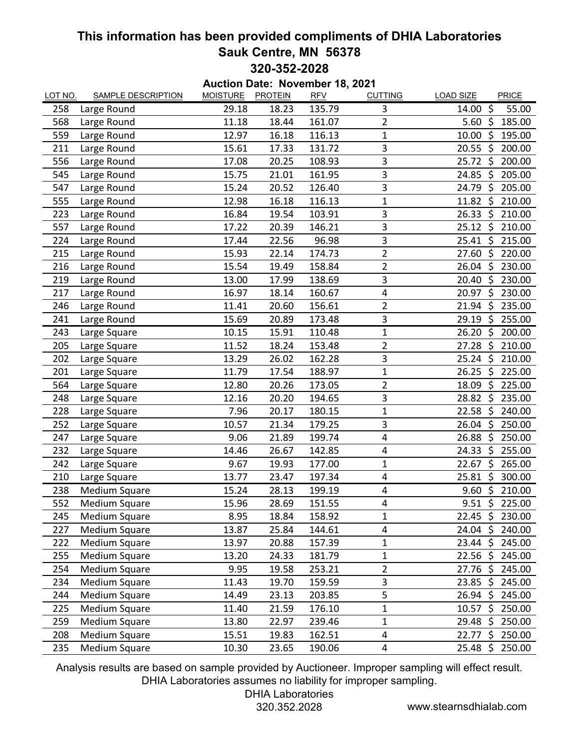### **This information has been provided compliments of DHIA Laboratories Sauk Centre, MN 56378 320-352-2028**

**Auction Date: November 18, 2021** LOT NO. SAMPLE DESCRIPTION MOISTURE PROTEIN RFV CUTTING LOAD SIZE PRICE 258 Large Round 29.18 18.23 135.79 3 14.00 \$ 55.00 568 Large Round 11.18 18.44 161.07 2 5.60 \$ 185.00 559 Large Round 12.97 16.18 116.13 1 10.00 \$ 195.00 211 Large Round 15.61 17.33 131.72 3 20.55 \$ 200.00 556 Large Round 17.08 20.25 108.93 3 25.72 \$ 200.00 545 Large Round 15.75 21.01 161.95 3 24.85 \$ 205.00 547 Large Round 15.24 20.52 126.40 3 24.79 \$ 205.00 555 Large Round 12.98 16.18 116.13 1 11.82 \$ 210.00 223 Large Round 16.84 19.54 103.91 3 26.33 \$ 210.00 557 Large Round 17.22 20.39 146.21 3 25.12 \$ 210.00 224 Large Round 17.44 22.56 96.98 3 25.41 \$ 215.00 215 Large Round 15.93 22.14 174.73 2 27.60 \$ 220.00 216 Large Round 15.54 19.49 158.84 2 26.04 \$ 230.00 219 Large Round 13.00 17.99 138.69 3 20.40 \$ 230.00 217 Large Round 16.97 18.14 160.67 4 20.97 \$ 230.00 246 Large Round 11.41 20.60 156.61 2 21.94 \$ 235.00 241 Large Round 15.69 20.89 173.48 3 29.19 \$ 255.00 243 Large Square 10.15 15.91 110.48 1 26.20 \$ 200.00 205 Large Square 11.52 18.24 153.48 2 27.28 \$ 210.00 202 Large Square 13.29 26.02 162.28 3 25.24 \$ 210.00 201 Large Square 11.79 17.54 188.97 1 26.25 \$ 225.00 564 Large Square 12.80 20.26 173.05 2 18.09 \$ 225.00 248 Large Square 12.16 20.20 194.65 3 28.82 \$ 235.00 228 Large Square **7.96** 20.17 180.15 1 22.58 \$ 240.00 252 Large Square 10.57 21.34 179.25 3 26.04 \$ 250.00 247 Large Square **9.06** 21.89 199.74 4 26.88 \$ 250.00 232 Large Square 14.46 26.67 142.85 4 24.33 \$ 255.00 242 Large Square **9.67** 19.93 177.00 1 22.67 \$ 265.00 210 Large Square 13.77 23.47 197.34 4 25.81 \$ 300.00 238 Medium Square 15.24 28.13 199.19 4 9.60 \$ 210.00 552 Medium Square 15.96 28.69 151.55 4 9.51 \$ 225.00 245 Medium Square 8.95 18.84 158.92 1 22.45 \$ 230.00 227 Medium Square 13.87 25.84 144.61 4 24.04 \$ 240.00 222 Medium Square 13.97 20.88 157.39 1 23.44 \$ 245.00 255 Medium Square 13.20 24.33 181.79 1 22.56 \$ 245.00 254 Medium Square **254 Medium Square** 9.95 19.58 253.21 2 27.76 \$ 245.00 234 Medium Square 11.43 19.70 159.59 3 23.85 \$ 245.00 244 Medium Square 14.49 23.13 203.85 5 26.94 \$ 245.00 225 Medium Square 11.40 21.59 176.10 1 10.57 \$ 250.00 259 Medium Square 13.80 22.97 239.46 1 29.48 \$ 250.00 208 Medium Square 15.51 19.83 162.51 4 22.77 \$ 250.00 235 Medium Square 10.30 23.65 190.06 4 25.48 \$ 250.00

Analysis results are based on sample provided by Auctioneer. Improper sampling will effect result. DHIA Laboratories assumes no liability for improper sampling.

# DHIA Laboratories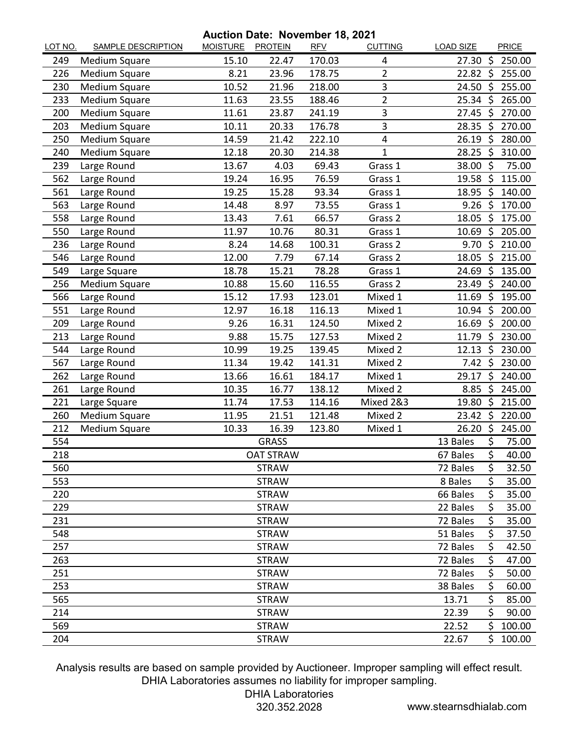#### **Auction Date: November 18, 2021**

| LOT NO. | <b>SAMPLE DESCRIPTION</b> | <b>MOISTURE</b> | <b>PROTEIN</b>   | <b>RFV</b> | <b>CUTTING</b> | <b>LOAD SIZE</b> |                    | PRICE  |
|---------|---------------------------|-----------------|------------------|------------|----------------|------------------|--------------------|--------|
| 249     | Medium Square             | 15.10           | 22.47            | 170.03     | 4              | 27.30 \$         |                    | 250.00 |
| 226     | Medium Square             | 8.21            | 23.96            | 178.75     | $\overline{2}$ | $22.82 \text{ }$ |                    | 255.00 |
| 230     | Medium Square             | 10.52           | 21.96            | 218.00     | 3              | 24.50 \$         |                    | 255.00 |
| 233     | Medium Square             | 11.63           | 23.55            | 188.46     | $\overline{2}$ | $25.34 \text{ }$ |                    | 265.00 |
| 200     | Medium Square             | 11.61           | 23.87            | 241.19     | 3              | 27.45            | Ŝ.                 | 270.00 |
| 203     | Medium Square             | 10.11           | 20.33            | 176.78     | 3              | 28.35 \$         |                    | 270.00 |
| 250     | Medium Square             | 14.59           | 21.42            | 222.10     | 4              | 26.19            | -\$                | 280.00 |
| 240     | Medium Square             | 12.18           | 20.30            | 214.38     | 1              | 28.25            | \$                 | 310.00 |
| 239     | Large Round               | 13.67           | 4.03             | 69.43      | Grass 1        | 38.00%           |                    | 75.00  |
| 562     | Large Round               | 19.24           | 16.95            | 76.59      | Grass 1        | $19.58$ \$       |                    | 115.00 |
| 561     | Large Round               | 19.25           | 15.28            | 93.34      | Grass 1        | 18.95            | -\$                | 140.00 |
| 563     | Large Round               | 14.48           | 8.97             | 73.55      | Grass 1        | $9.26$ \$        |                    | 170.00 |
| 558     | Large Round               | 13.43           | 7.61             | 66.57      | Grass 2        | 18.05            | -\$                | 175.00 |
| 550     | Large Round               | 11.97           | 10.76            | 80.31      | Grass 1        | 10.69            | \$                 | 205.00 |
| 236     | Large Round               | 8.24            | 14.68            | 100.31     | Grass 2        | 9.70             | -\$                | 210.00 |
| 546     | Large Round               | 12.00           | 7.79             | 67.14      | Grass 2        | 18.05            | -\$                | 215.00 |
| 549     | Large Square              | 18.78           | 15.21            | 78.28      | Grass 1        | 24.69            | - Ś                | 135.00 |
| 256     | Medium Square             | 10.88           | 15.60            | 116.55     | Grass 2        | 23.49            | $\ddot{\varsigma}$ | 240.00 |
| 566     | Large Round               | 15.12           | 17.93            | 123.01     | Mixed 1        | 11.69            | $\zeta$            | 195.00 |
| 551     | Large Round               | 12.97           | 16.18            | 116.13     | Mixed 1        | 10.94 \$         |                    | 200.00 |
| 209     | Large Round               | 9.26            | 16.31            | 124.50     | Mixed 2        | 16.69            | -\$                | 200.00 |
| 213     | Large Round               | 9.88            | 15.75            | 127.53     | Mixed 2        | 11.79            | S,                 | 230.00 |
| 544     | Large Round               | 10.99           | 19.25            | 139.45     | Mixed 2        | 12.13            | -\$                | 230.00 |
| 567     | Large Round               | 11.34           | 19.42            | 141.31     | Mixed 2        | $7.42 \text{ }$  |                    | 230.00 |
| 262     | Large Round               | 13.66           | 16.61            | 184.17     | Mixed 1        | 29.17            | $\zeta$            | 240.00 |
| 261     | Large Round               | 10.35           | 16.77            | 138.12     | Mixed 2        | 8.85             | -\$                | 245.00 |
| 221     | Large Square              | 11.74           | 17.53            | 114.16     | Mixed 2&3      | 19.80            | \$                 | 215.00 |
| 260     | Medium Square             | 11.95           | 21.51            | 121.48     | Mixed 2        | $23.42 \div$     |                    | 220.00 |
| 212     | Medium Square             | 10.33           | 16.39            | 123.80     | Mixed 1        | 26.20 \$         |                    | 245.00 |
| 554     |                           |                 | <b>GRASS</b>     |            |                | 13 Bales         | \$                 | 75.00  |
| 218     |                           |                 | <b>OAT STRAW</b> |            |                | 67 Bales         | \$                 | 40.00  |
| 560     |                           |                 | <b>STRAW</b>     |            |                | 72 Bales         | \$                 | 32.50  |
| 553     |                           |                 | <b>STRAW</b>     |            |                | 8 Bales          | \$                 | 35.00  |
| 220     |                           |                 | <b>STRAW</b>     |            |                | 66 Bales         | \$                 | 35.00  |
| 229     |                           |                 | <b>STRAW</b>     |            |                | 22 Bales         | \$                 | 35.00  |
| 231     |                           |                 | <b>STRAW</b>     |            |                | 72 Bales         | \$                 | 35.00  |
| 548     |                           |                 | <b>STRAW</b>     |            |                | 51 Bales         | \$                 | 37.50  |
| 257     |                           |                 | <b>STRAW</b>     |            |                | 72 Bales         | \$                 | 42.50  |
| 263     |                           |                 | <b>STRAW</b>     |            |                | 72 Bales         | \$                 | 47.00  |
| 251     |                           |                 | <b>STRAW</b>     |            |                | 72 Bales         | \$                 | 50.00  |
| 253     |                           |                 | <b>STRAW</b>     |            |                | 38 Bales         | \$                 | 60.00  |
| 565     |                           |                 | <b>STRAW</b>     |            |                | 13.71            | \$                 | 85.00  |
| 214     |                           |                 | <b>STRAW</b>     |            |                | 22.39            | \$                 | 90.00  |
| 569     |                           |                 | <b>STRAW</b>     |            |                | 22.52            | \$                 | 100.00 |
| 204     |                           |                 | <b>STRAW</b>     |            |                | 22.67            | Ś                  | 100.00 |

Analysis results are based on sample provided by Auctioneer. Improper sampling will effect result. DHIA Laboratories assumes no liability for improper sampling.

## DHIA Laboratories